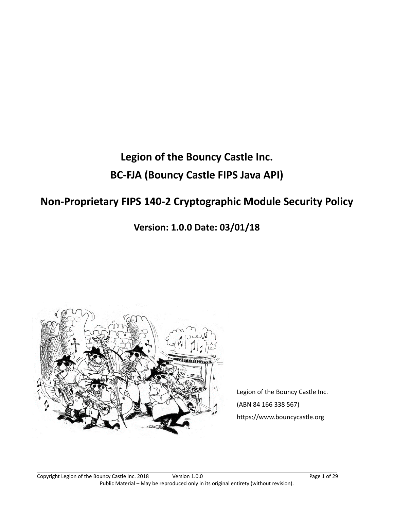# **Legion of the Bouncy Castle Inc. BC-FJA (Bouncy Castle FIPS Java API)**

# **Non-Proprietary FIPS 140-2 Cryptographic Module Security Policy**

**Version: 1.0.0 Date: 03/01/18**



Legion of the Bouncy Castle Inc. (ABN 84 166 338 567) https://www.bouncycastle.org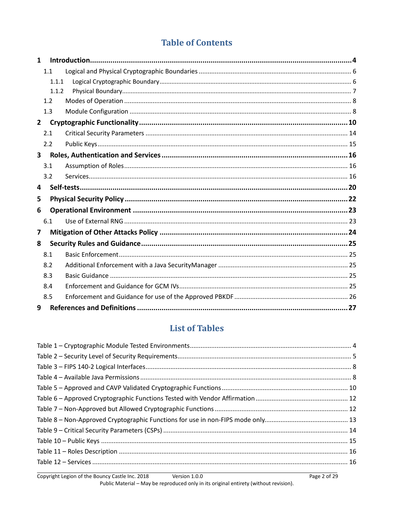# **Table of Contents**

| 1                       |       |  |  |
|-------------------------|-------|--|--|
|                         | 1.1   |  |  |
|                         | 1.1.1 |  |  |
|                         | 1.1.2 |  |  |
|                         | 1.2   |  |  |
|                         | 1.3   |  |  |
| $\mathbf{2}$            |       |  |  |
|                         | 2.1   |  |  |
|                         | 2.2   |  |  |
| $\overline{\mathbf{3}}$ |       |  |  |
|                         | 3.1   |  |  |
|                         | 3.2   |  |  |
| 4                       |       |  |  |
| 5                       |       |  |  |
| 6                       |       |  |  |
|                         | 6.1   |  |  |
| 7                       |       |  |  |
| 8                       |       |  |  |
|                         |       |  |  |
|                         | 8.1   |  |  |
|                         | 8.2   |  |  |
|                         | 8.3   |  |  |
|                         | 8.4   |  |  |
|                         | 8.5   |  |  |

# **List of Tables**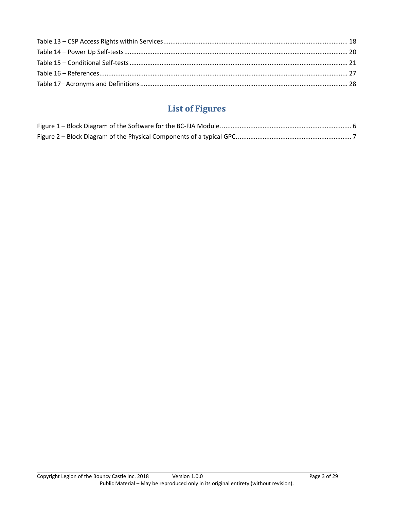# **List of Figures**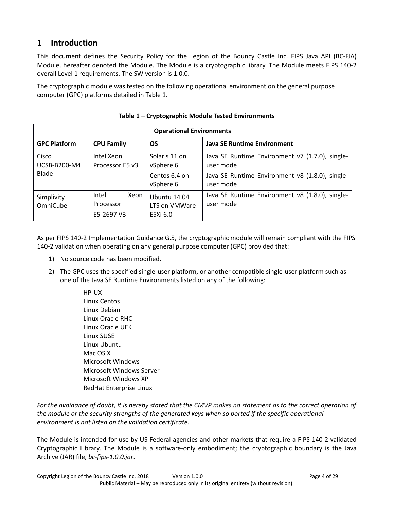# <span id="page-3-0"></span>**1 Introduction**

This document defines the Security Policy for the Legion of the Bouncy Castle Inc. FIPS Java API (BC-FJA) Module, hereafter denoted the Module. The Module is a cryptographic library. The Module meets FIPS 140-2 overall Level 1 requirements. The SW version is 1.0.0.

The cryptographic module was tested on the following operational environment on the general purpose computer (GPC) platforms detailed in Table 1.

<span id="page-3-1"></span>

| <b>Operational Environments</b> |                                          |                                                         |                                                              |
|---------------------------------|------------------------------------------|---------------------------------------------------------|--------------------------------------------------------------|
| <b>GPC Platform</b>             | <b>CPU Family</b>                        | $\underline{\mathsf{OS}}$                               | <b>Java SE Runtime Environment</b>                           |
| Cisco<br>UCSB-B200-M4           | Intel Xeon<br>Processor E5 v3            | Solaris 11 on<br>vSphere 6                              | Java SE Runtime Environment v7 (1.7.0), single-<br>user mode |
| <b>Blade</b>                    |                                          | Centos 6.4 on<br>vSphere 6                              | Java SE Runtime Environment v8 (1.8.0), single-<br>user mode |
| Simplivity<br>OmniCube          | Intel<br>Xeon<br>Processor<br>E5-2697 V3 | <b>Ubuntu 14.04</b><br>LTS on VMWare<br><b>ESXi 6.0</b> | Java SE Runtime Environment v8 (1.8.0), single-<br>user mode |

As per FIPS 140-2 Implementation Guidance G.5, the cryptographic module will remain compliant with the FIPS 140-2 validation when operating on any general purpose computer (GPC) provided that:

- 1) No source code has been modified.
- 2) The GPC uses the specified single-user platform, or another compatible single-user platform such as one of the Java SE Runtime Environments listed on any of the following:
	- HP-UX Linux Centos Linux Debian Linux Oracle RHC Linux Oracle UEK Linux SUSE Linux Ubuntu Mac OS X Microsoft Windows Microsoft Windows Server Microsoft Windows XP RedHat Enterprise Linux

For the avoidance of doubt, it is hereby stated that the CMVP makes no statement as to the correct operation of *the module or the security strengths of the generated keys when so ported if the specific operational environment is not listed on the validation certificate.*

The Module is intended for use by US Federal agencies and other markets that require a FIPS 140-2 validated Cryptographic Library. The Module is a software-only embodiment; the cryptographic boundary is the Java Archive (JAR) file, *bc-fips-1.0.0.jar*.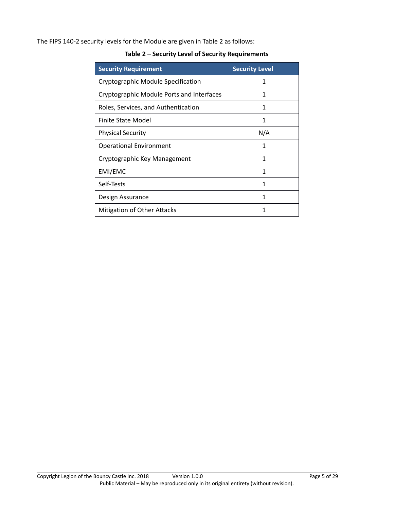<span id="page-4-0"></span>The FIPS 140-2 security levels for the Module are given in [Table 2](#page-4-0) as follows:

| <b>Security Requirement</b>               | <b>Security Level</b> |
|-------------------------------------------|-----------------------|
| Cryptographic Module Specification        | 1                     |
| Cryptographic Module Ports and Interfaces | 1                     |
| Roles, Services, and Authentication       | 1                     |
| Finite State Model                        | 1                     |
| <b>Physical Security</b>                  | N/A                   |
| <b>Operational Environment</b>            | 1                     |
| Cryptographic Key Management              | 1                     |
| EMI/EMC                                   | 1                     |
| Self-Tests                                | 1                     |
| Design Assurance                          | 1                     |
| <b>Mitigation of Other Attacks</b>        |                       |

**Table 2 – Security Level of Security Requirements**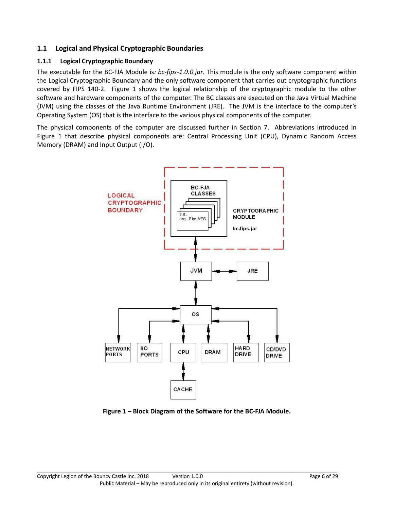#### <span id="page-5-0"></span>**1.1 Logical and Physical Cryptographic Boundaries**

### <span id="page-5-1"></span>**1.1.1 Logical Cryptographic Boundary**

The executable for the BC-FJA Module is*: bc-fips-1.0.0.jar*. This module is the only software component within the Logical Cryptographic Boundary and the only software component that carries out cryptographic functions covered by FIPS 140-2. [Figure 1](#page-5-2) shows the logical relationship of the cryptographic module to the other software and hardware components of the computer. The BC classes are executed on the Java Virtual Machine (JVM) using the classes of the Java Runtime Environment (JRE). The JVM is the interface to the computer's Operating System (OS) that is the interface to the various physical components of the computer.

The physical components of the computer are discussed further in Section 7. Abbreviations introduced in [Figure 1](#page-5-2) that describe physical components are: Central Processing Unit (CPU), Dynamic Random Access Memory (DRAM) and Input Output (I/O).



<span id="page-5-2"></span>**Figure 1 – Block Diagram of the Software for the BC-FJA Module.**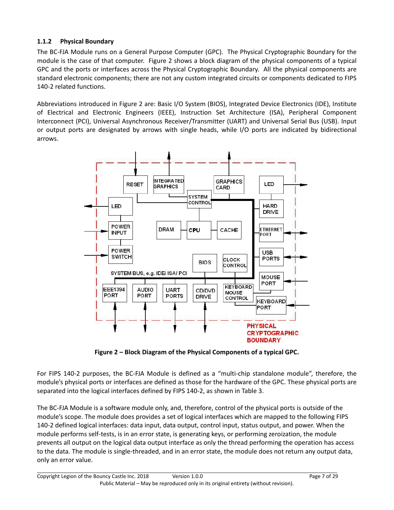#### <span id="page-6-0"></span>**1.1.2 Physical Boundary**

The BC-FJA Module runs on a General Purpose Computer (GPC). The Physical Cryptographic Boundary for the module is the case of that computer. [Figure 2](#page-6-1) shows a block diagram of the physical components of a typical GPC and the ports or interfaces across the Physical Cryptographic Boundary. All the physical components are standard electronic components; there are not any custom integrated circuits or components dedicated to FIPS 140-2 related functions.

Abbreviations introduced in [Figure 2](#page-6-1) are: Basic I/O System (BIOS), Integrated Device Electronics (IDE), Institute of Electrical and Electronic Engineers (IEEE), Instruction Set Architecture (ISA), Peripheral Component Interconnect (PCI), Universal Asynchronous Receiver/Transmitter (UART) and Universal Serial Bus (USB). Input or output ports are designated by arrows with single heads, while I/O ports are indicated by bidirectional arrows.



**Figure 2 – Block Diagram of the Physical Components of a typical GPC.**

<span id="page-6-1"></span>For FIPS 140-2 purposes, the BC-FJA Module is defined as a "multi-chip standalone module", therefore, the module's physical ports or interfaces are defined as those for the hardware of the GPC. These physical ports are separated into the logical interfaces defined by FIPS 140-2, as shown in [Table 3.](#page-7-2)

The BC-FJA Module is a software module only, and, therefore, control of the physical ports is outside of the module's scope. The module does provides a set of logical interfaces which are mapped to the following FIPS 140-2 defined logical interfaces: data input, data output, control input, status output, and power. When the module performs self-tests, is in an error state, is generating keys, or performing zeroization, the module prevents all output on the logical data output interface as only the thread performing the operation has access to the data. The module is single-threaded, and in an error state, the module does not return any output data, only an error value.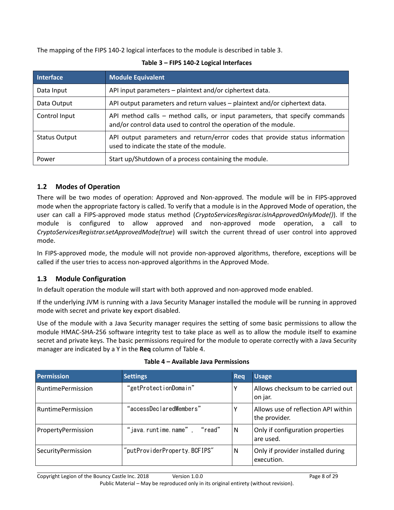<span id="page-7-2"></span>The mapping of the FIPS 140-2 logical interfaces to the module is described in table 3.

| <b>Interface</b>     | <b>Module Equivalent</b>                                                                                                                        |
|----------------------|-------------------------------------------------------------------------------------------------------------------------------------------------|
| Data Input           | API input parameters - plaintext and/or ciphertext data.                                                                                        |
| Data Output          | API output parameters and return values - plaintext and/or ciphertext data.                                                                     |
| Control Input        | API method calls - method calls, or input parameters, that specify commands<br>and/or control data used to control the operation of the module. |
| <b>Status Output</b> | API output parameters and return/error codes that provide status information<br>used to indicate the state of the module.                       |
| Power                | Start up/Shutdown of a process containing the module.                                                                                           |

#### **Table 3 – FIPS 140-2 Logical Interfaces**

#### <span id="page-7-0"></span>**1.2 Modes of Operation**

There will be two modes of operation: Approved and Non-approved. The module will be in FIPS-approved mode when the appropriate factory is called. To verify that a module is in the Approved Mode of operation, the user can call a FIPS-approved mode status method (*CryptoServicesRegisrar.isInApprovedOnlyMode()*). If the module is configured to allow approved and non-approved mode operation, a call to *CryptoServicesRegistrar.setApprovedMode(true*) will switch the current thread of user control into approved mode.

In FIPS-approved mode, the module will not provide non-approved algorithms, therefore, exceptions will be called if the user tries to access non-approved algorithms in the Approved Mode.

#### <span id="page-7-1"></span>**1.3 Module Configuration**

In default operation the module will start with both approved and non-approved mode enabled.

If the underlying JVM is running with a Java Security Manager installed the module will be running in approved mode with secret and private key export disabled.

Use of the module with a Java Security manager requires the setting of some basic permissions to allow the module HMAC-SHA-256 software integrity test to take place as well as to allow the module itself to examine secret and private keys. The basic permissions required for the module to operate correctly with a Java Security manager are indicated by a Y in the **Req** column of Table 4.

<span id="page-7-3"></span>

| <b>Permission</b>        | <b>Settings</b>              | <b>Reg</b>   | <b>Usage</b>                                         |
|--------------------------|------------------------------|--------------|------------------------------------------------------|
| <b>RuntimePermission</b> | "getProtectionDomain"        | $\checkmark$ | Allows checksum to be carried out<br>on jar.         |
| <b>RuntimePermission</b> | "accessDeclaredMembers"      | $\checkmark$ | Allows use of reflection API within<br>the provider. |
| PropertyPermission       | "java.runtime.name", "read"  | N            | Only if configuration properties<br>are used.        |
| SecurityPermission       | "putProviderProperty.BCFIPS" | N            | Only if provider installed during<br>execution.      |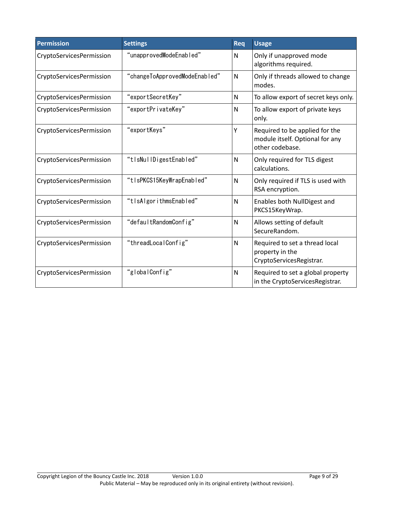| <b>Permission</b>        | <b>Settings</b>               | Req | <b>Usage</b>                                                                         |
|--------------------------|-------------------------------|-----|--------------------------------------------------------------------------------------|
| CryptoServicesPermission | "unapprovedModeEnabled"       | N   | Only if unapproved mode<br>algorithms required.                                      |
| CryptoServicesPermission | "changeToApprovedModeEnabled" | N   | Only if threads allowed to change<br>modes.                                          |
| CryptoServicesPermission | "exportSecretKey"             | N   | To allow export of secret keys only.                                                 |
| CryptoServicesPermission | "exportPrivateKey"            | N   | To allow export of private keys<br>only.                                             |
| CryptoServicesPermission | "exportKeys"                  | Υ   | Required to be applied for the<br>module itself. Optional for any<br>other codebase. |
| CryptoServicesPermission | "tisNullDigestEnabled"        | N   | Only required for TLS digest<br>calculations.                                        |
| CryptoServicesPermission | "tlsPKCS15KeyWrapEnabled"     | N   | Only required if TLS is used with<br>RSA encryption.                                 |
| CryptoServicesPermission | "tlsAlgorithmsEnabled"        | N   | Enables both NullDigest and<br>PKCS15KeyWrap.                                        |
| CryptoServicesPermission | "defaultRandomConfig"         | N   | Allows setting of default<br>SecureRandom.                                           |
| CryptoServicesPermission | "threadLocalConfig"           | N   | Required to set a thread local<br>property in the<br>CryptoServicesRegistrar.        |
| CryptoServicesPermission | "globalConfig"                | N   | Required to set a global property<br>in the CryptoServicesRegistrar.                 |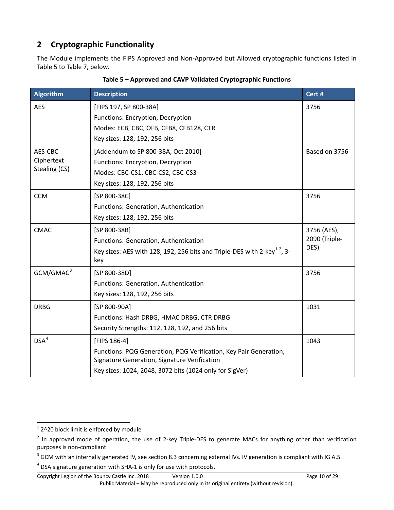# <span id="page-9-0"></span>**2 Cryptographic Functionality**

The Module implements the FIPS Approved and Non-Approved but Allowed cryptographic functions listed in [Table 5](#page-9-1) t[o Table 7,](#page-11-1) below.

<span id="page-9-1"></span>

| <b>Algorithm</b>      | <b>Description</b>                                                                                                | Cert #        |
|-----------------------|-------------------------------------------------------------------------------------------------------------------|---------------|
| <b>AES</b>            | [FIPS 197, SP 800-38A]                                                                                            | 3756          |
|                       | Functions: Encryption, Decryption                                                                                 |               |
|                       | Modes: ECB, CBC, OFB, CFB8, CFB128, CTR                                                                           |               |
|                       | Key sizes: 128, 192, 256 bits                                                                                     |               |
| AES-CBC               | [Addendum to SP 800-38A, Oct 2010]                                                                                | Based on 3756 |
| Ciphertext            | Functions: Encryption, Decryption                                                                                 |               |
| Stealing (CS)         | Modes: CBC-CS1, CBC-CS2, CBC-CS3                                                                                  |               |
|                       | Key sizes: 128, 192, 256 bits                                                                                     |               |
| <b>CCM</b>            | [SP 800-38C]                                                                                                      | 3756          |
|                       | Functions: Generation, Authentication                                                                             |               |
|                       | Key sizes: 128, 192, 256 bits                                                                                     |               |
| <b>CMAC</b>           | [SP 800-38B]                                                                                                      | 3756 (AES),   |
|                       | Functions: Generation, Authentication                                                                             | 2090 (Triple- |
|                       | Key sizes: AES with 128, 192, 256 bits and Triple-DES with 2-key <sup>1,2</sup> , 3-<br>key                       | DES)          |
| GCM/GMAC <sup>3</sup> | [SP 800-38D]                                                                                                      | 3756          |
|                       | Functions: Generation, Authentication                                                                             |               |
|                       | Key sizes: 128, 192, 256 bits                                                                                     |               |
| <b>DRBG</b>           | [SP 800-90A]                                                                                                      | 1031          |
|                       | Functions: Hash DRBG, HMAC DRBG, CTR DRBG                                                                         |               |
|                       | Security Strengths: 112, 128, 192, and 256 bits                                                                   |               |
| DSA <sup>4</sup>      | [FIPS 186-4]                                                                                                      | 1043          |
|                       | Functions: PQG Generation, PQG Verification, Key Pair Generation,<br>Signature Generation, Signature Verification |               |
|                       | Key sizes: 1024, 2048, 3072 bits (1024 only for SigVer)                                                           |               |

**Table 5 – Approved and CAVP Validated Cryptographic Functions**

<span id="page-9-2"></span> $1$  2^20 block limit is enforced by module

<span id="page-9-3"></span> $2$  In approved mode of operation, the use of 2-key Triple-DES to generate MACs for anything other than verification purposes is non-compliant.

<span id="page-9-4"></span> $3$  GCM with an internally generated IV, see section 8.3 concerning external IVs. IV generation is compliant with IG A.5.

<span id="page-9-5"></span><sup>&</sup>lt;sup>4</sup> DSA signature generation with SHA-1 is only for use with protocols.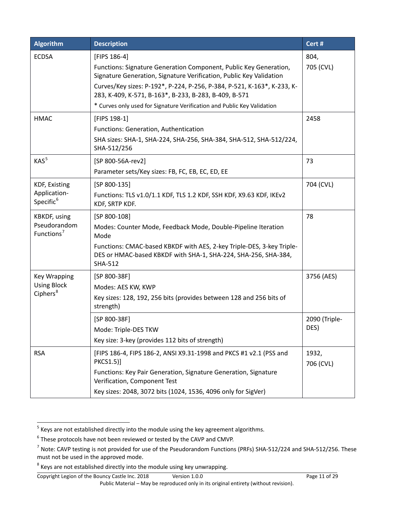| <b>Algorithm</b>                           | <b>Description</b>                                                                                                                                        | Cert #             |
|--------------------------------------------|-----------------------------------------------------------------------------------------------------------------------------------------------------------|--------------------|
| <b>ECDSA</b>                               | [FIPS 186-4]                                                                                                                                              | 804,               |
|                                            | Functions: Signature Generation Component, Public Key Generation,<br>Signature Generation, Signature Verification, Public Key Validation                  | 705 (CVL)          |
|                                            | Curves/Key sizes: P-192*, P-224, P-256, P-384, P-521, K-163*, K-233, K-<br>283, K-409, K-571, B-163*, B-233, B-283, B-409, B-571                          |                    |
|                                            | * Curves only used for Signature Verification and Public Key Validation                                                                                   |                    |
| <b>HMAC</b>                                | [FIPS 198-1]                                                                                                                                              | 2458               |
|                                            | Functions: Generation, Authentication                                                                                                                     |                    |
|                                            | SHA sizes: SHA-1, SHA-224, SHA-256, SHA-384, SHA-512, SHA-512/224,<br>SHA-512/256                                                                         |                    |
| KAS <sup>5</sup>                           | [SP 800-56A-rev2]                                                                                                                                         | 73                 |
|                                            | Parameter sets/Key sizes: FB, FC, EB, EC, ED, EE                                                                                                          |                    |
| <b>KDF, Existing</b>                       | $[SP 800-135]$                                                                                                                                            | 704 (CVL)          |
| Application-<br>Specific <sup>6</sup>      | Functions: TLS v1.0/1.1 KDF, TLS 1.2 KDF, SSH KDF, X9.63 KDF, IKEv2<br>KDF, SRTP KDF.                                                                     |                    |
| <b>KBKDF, using</b>                        | $[SP 800-108]$                                                                                                                                            | 78                 |
| Pseudorandom<br>Functions <sup>7</sup>     | Modes: Counter Mode, Feedback Mode, Double-Pipeline Iteration<br>Mode                                                                                     |                    |
|                                            | Functions: CMAC-based KBKDF with AES, 2-key Triple-DES, 3-key Triple-<br>DES or HMAC-based KBKDF with SHA-1, SHA-224, SHA-256, SHA-384,<br><b>SHA-512</b> |                    |
| <b>Key Wrapping</b>                        | [SP 800-38F]                                                                                                                                              | 3756 (AES)         |
| <b>Using Block</b><br>Ciphers <sup>8</sup> | Modes: AES KW, KWP                                                                                                                                        |                    |
|                                            | Key sizes: 128, 192, 256 bits (provides between 128 and 256 bits of<br>strength)                                                                          |                    |
|                                            | [SP 800-38F]                                                                                                                                              | 2090 (Triple-      |
|                                            | Mode: Triple-DES TKW                                                                                                                                      | DES)               |
|                                            | Key size: 3-key (provides 112 bits of strength)                                                                                                           |                    |
| <b>RSA</b>                                 | [FIPS 186-4, FIPS 186-2, ANSI X9.31-1998 and PKCS #1 v2.1 (PSS and<br>PKCS1.5)]                                                                           | 1932,<br>706 (CVL) |
|                                            | Functions: Key Pair Generation, Signature Generation, Signature<br>Verification, Component Test                                                           |                    |
|                                            | Key sizes: 2048, 3072 bits (1024, 1536, 4096 only for SigVer)                                                                                             |                    |

<span id="page-10-0"></span> $<sup>5</sup>$  Keys are not established directly into the module using the key agreement algorithms.</sup>

<span id="page-10-1"></span><sup>&</sup>lt;sup>6</sup> These protocols have not been reviewed or tested by the CAVP and CMVP.

<span id="page-10-2"></span> $<sup>7</sup>$  Note: CAVP testing is not provided for use of the Pseudorandom Functions (PRFs) SHA-512/224 and SHA-512/256. These</sup> must not be used in the approved mode.

<span id="page-10-3"></span><sup>&</sup>lt;sup>8</sup> Keys are not established directly into the module using key unwrapping.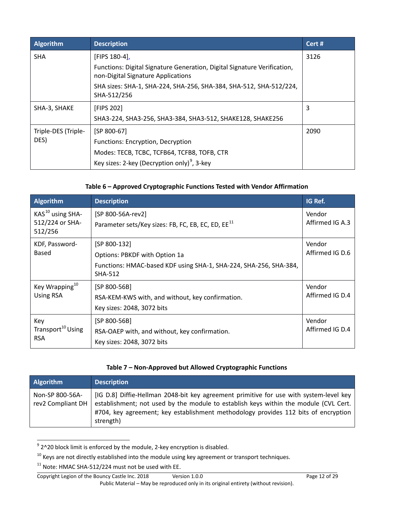| Algorithm           | <b>Description</b>                                                                                             | Cert # |
|---------------------|----------------------------------------------------------------------------------------------------------------|--------|
| <b>SHA</b>          | [FIPS 180-4],                                                                                                  | 3126   |
|                     | Functions: Digital Signature Generation, Digital Signature Verification,<br>non-Digital Signature Applications |        |
|                     | SHA sizes: SHA-1, SHA-224, SHA-256, SHA-384, SHA-512, SHA-512/224,<br>SHA-512/256                              |        |
| SHA-3, SHAKE        | [FIPS 202]                                                                                                     | 3      |
|                     | SHA3-224, SHA3-256, SHA3-384, SHA3-512, SHAKE128, SHAKE256                                                     |        |
| Triple-DES (Triple- | $[SP 800-67]$                                                                                                  | 2090   |
| DES)                | Functions: Encryption, Decryption                                                                              |        |
|                     | Modes: TECB, TCBC, TCFB64, TCFB8, TOFB, CTR                                                                    |        |
|                     | Key sizes: 2-key (Decryption only) <sup>9</sup> , 3-key                                                        |        |

# **Table 6 – Approved Cryptographic Functions Tested with Vendor Affirmation**

<span id="page-11-0"></span>

| <b>Algorithm</b>                            | <b>Description</b>                                                                  | IG Ref.         |
|---------------------------------------------|-------------------------------------------------------------------------------------|-----------------|
| $KAS10$ using SHA-                          | [SP 800-56A-rev2]                                                                   | Vendor          |
| 512/224 or SHA-<br>512/256                  | Parameter sets/Key sizes: FB, FC, EB, EC, ED, EE <sup>11</sup>                      | Affirmed IG A.3 |
| KDF, Password-                              | $[SP 800-132]$                                                                      | Vendor          |
| Based                                       | Options: PBKDF with Option 1a                                                       | Affirmed IG D.6 |
|                                             | Functions: HMAC-based KDF using SHA-1, SHA-224, SHA-256, SHA-384,<br><b>SHA-512</b> |                 |
| Key Wrapping <sup>10</sup>                  | [SP 800-56B]                                                                        | Vendor          |
| <b>Using RSA</b>                            | RSA-KEM-KWS with, and without, key confirmation.                                    | Affirmed IG D.4 |
|                                             | Key sizes: 2048, 3072 bits                                                          |                 |
| Key                                         | $[SP 800-56B]$                                                                      | Vendor          |
| Transport <sup>10</sup> Using<br><b>RSA</b> | RSA-OAEP with, and without, key confirmation.                                       | Affirmed IG D.4 |
|                                             | Key sizes: 2048, 3072 bits                                                          |                 |

#### **Table 7 – Non-Approved but Allowed Cryptographic Functions**

<span id="page-11-1"></span>

| <b>Algorithm</b>                     | <b>Description</b>                                                                                                                                                                                                                                                                |
|--------------------------------------|-----------------------------------------------------------------------------------------------------------------------------------------------------------------------------------------------------------------------------------------------------------------------------------|
| Non-SP 800-56A-<br>rev2 Compliant DH | [IG D.8] Diffie-Hellman 2048-bit key agreement primitive for use with system-level key<br>establishment; not used by the module to establish keys within the module (CVL Cert.<br>#704, key agreement; key establishment methodology provides 112 bits of encryption<br>strength) |

<span id="page-11-2"></span> $9$  2^20 block limit is enforced by the module, 2-key encryption is disabled.

<span id="page-11-3"></span> $10$  Keys are not directly established into the module using key agreement or transport techniques.

<span id="page-11-4"></span><sup>&</sup>lt;sup>11</sup> Note: HMAC SHA-512/224 must not be used with EE.

Copyright Legion of the Bouncy Castle Inc. 2018 Version 1.0.0 Page 12 of 29 Public Material – May be reproduced only in its original entirety (without revision).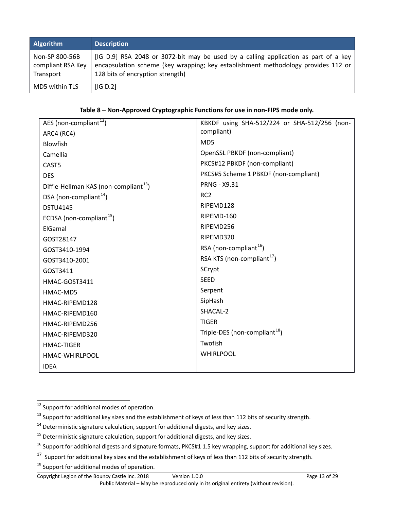| <b>Algorithm</b>                                 | <b>Description</b>                                                                                                                                                                                           |
|--------------------------------------------------|--------------------------------------------------------------------------------------------------------------------------------------------------------------------------------------------------------------|
| Non-SP 800-56B<br>compliant RSA Key<br>Transport | [IG D.9] RSA 2048 or 3072-bit may be used by a calling application as part of a key<br>encapsulation scheme (key wrapping; key establishment methodology provides 112 or<br>128 bits of encryption strength) |
| MD5 within TLS                                   | IG D.2                                                                                                                                                                                                       |

**Table 8 – Non-Approved Cryptographic Functions for use in non-FIPS mode only.**

<span id="page-12-0"></span>

| AES (non-compliant <sup>12</sup> )                | KBKDF using SHA-512/224 or SHA-512/256 (non- |
|---------------------------------------------------|----------------------------------------------|
| ARC4 (RC4)                                        | compliant)                                   |
| <b>Blowfish</b>                                   | MD5                                          |
| Camellia                                          | OpenSSL PBKDF (non-compliant)                |
| CAST5                                             | PKCS#12 PBKDF (non-compliant)                |
| <b>DES</b>                                        | PKCS#5 Scheme 1 PBKDF (non-compliant)        |
| Diffie-Hellman KAS (non-compliant <sup>13</sup> ) | <b>PRNG - X9.31</b>                          |
| DSA (non-compliant <sup>14</sup> )                | RC <sub>2</sub>                              |
| <b>DSTU4145</b>                                   | RIPEMD128                                    |
| ECDSA (non-compliant <sup>15</sup> )              | RIPEMD-160                                   |
| ElGamal                                           | RIPEMD256                                    |
| GOST28147                                         | RIPEMD320                                    |
| GOST3410-1994                                     | RSA (non-compliant <sup>16</sup> )           |
| GOST3410-2001                                     | RSA KTS (non-compliant <sup>17</sup> )       |
| GOST3411                                          | SCrypt                                       |
| HMAC-GOST3411                                     | <b>SEED</b>                                  |
| HMAC-MD5                                          | Serpent                                      |
| HMAC-RIPEMD128                                    | SipHash                                      |
| HMAC-RIPEMD160                                    | SHACAL-2                                     |
| HMAC-RIPEMD256                                    | <b>TIGER</b>                                 |
| HMAC-RIPEMD320                                    | Triple-DES (non-compliant <sup>18</sup> )    |
| <b>HMAC-TIGER</b>                                 | Twofish                                      |
| HMAC-WHIRLPOOL                                    | <b>WHIRLPOOL</b>                             |
| <b>IDEA</b>                                       |                                              |

<span id="page-12-1"></span><sup>&</sup>lt;sup>12</sup> Support for additional modes of operation.

<span id="page-12-2"></span><sup>&</sup>lt;sup>13</sup> Support for additional key sizes and the establishment of keys of less than 112 bits of security strength.

<span id="page-12-3"></span> $14$  Deterministic signature calculation, support for additional digests, and key sizes.

<span id="page-12-4"></span> $15$  Deterministic signature calculation, support for additional digests, and key sizes.

<span id="page-12-5"></span> $16$  Support for additional digests and signature formats, PKCS#1 1.5 key wrapping, support for additional key sizes.

<span id="page-12-6"></span><sup>&</sup>lt;sup>17</sup> Support for additional key sizes and the establishment of keys of less than 112 bits of security strength.

<span id="page-12-7"></span><sup>&</sup>lt;sup>18</sup> Support for additional modes of operation.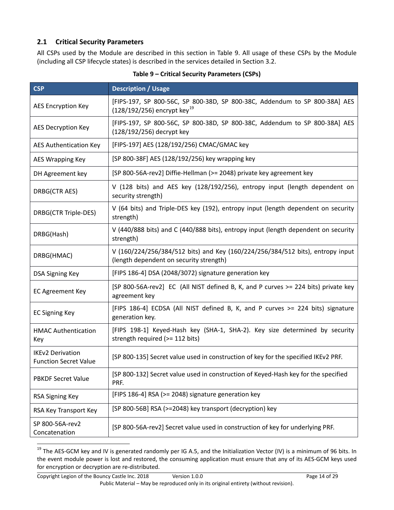#### <span id="page-13-0"></span>**2.1 Critical Security Parameters**

All CSPs used by the Module are described in this section in [Table 9.](#page-13-1) All usage of these CSPs by the Module (including all CSP lifecycle states) is described in the services detailed in Section 3.2.

<span id="page-13-1"></span>

| <b>CSP</b>                                              | <b>Description / Usage</b>                                                                                                |
|---------------------------------------------------------|---------------------------------------------------------------------------------------------------------------------------|
| <b>AES Encryption Key</b>                               | [FIPS-197, SP 800-56C, SP 800-38D, SP 800-38C, Addendum to SP 800-38A] AES<br>$(128/192/256)$ encrypt key <sup>19</sup>   |
| AES Decryption Key                                      | [FIPS-197, SP 800-56C, SP 800-38D, SP 800-38C, Addendum to SP 800-38A] AES<br>(128/192/256) decrypt key                   |
| AES Authentication Key                                  | [FIPS-197] AES (128/192/256) CMAC/GMAC key                                                                                |
| <b>AES Wrapping Key</b>                                 | [SP 800-38F] AES (128/192/256) key wrapping key                                                                           |
| DH Agreement key                                        | [SP 800-56A-rev2] Diffie-Hellman (>= 2048) private key agreement key                                                      |
| DRBG(CTR AES)                                           | V (128 bits) and AES key (128/192/256), entropy input (length dependent on<br>security strength)                          |
| DRBG(CTR Triple-DES)                                    | V (64 bits) and Triple-DES key (192), entropy input (length dependent on security<br>strength)                            |
| DRBG(Hash)                                              | V (440/888 bits) and C (440/888 bits), entropy input (length dependent on security<br>strength)                           |
| DRBG(HMAC)                                              | V (160/224/256/384/512 bits) and Key (160/224/256/384/512 bits), entropy input<br>(length dependent on security strength) |
| <b>DSA Signing Key</b>                                  | [FIPS 186-4] DSA (2048/3072) signature generation key                                                                     |
| <b>EC Agreement Key</b>                                 | [SP 800-56A-rev2] EC (All NIST defined B, K, and P curves >= 224 bits) private key<br>agreement key                       |
| <b>EC Signing Key</b>                                   | [FIPS 186-4] ECDSA (All NIST defined B, K, and P curves >= 224 bits) signature<br>generation key.                         |
| <b>HMAC Authentication</b><br>Key                       | [FIPS 198-1] Keyed-Hash key (SHA-1, SHA-2). Key size determined by security<br>strength required (>= 112 bits)            |
| <b>IKEv2 Derivation</b><br><b>Function Secret Value</b> | [SP 800-135] Secret value used in construction of key for the specified IKEv2 PRF.                                        |
| <b>PBKDF Secret Value</b>                               | [SP 800-132] Secret value used in construction of Keyed-Hash key for the specified<br>PRF.                                |
| <b>RSA Signing Key</b>                                  | [FIPS 186-4] RSA (>= 2048) signature generation key                                                                       |
| RSA Key Transport Key                                   | [SP 800-56B] RSA (>=2048) key transport (decryption) key                                                                  |
| SP 800-56A-rev2<br>Concatenation                        | [SP 800-56A-rev2] Secret value used in construction of key for underlying PRF.                                            |

**Table 9 – Critical Security Parameters (CSPs)**

<span id="page-13-2"></span><sup>&</sup>lt;sup>19</sup> The AES-GCM key and IV is generated randomly per IG A.5, and the Initialization Vector (IV) is a minimum of 96 bits. In the event module power is lost and restored, the consuming application must ensure that any of its AES-GCM keys used for encryption or decryption are re-distributed.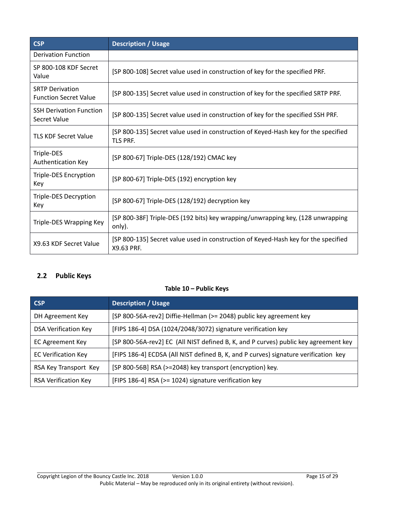| <b>CSP</b>                                             | <b>Description / Usage</b>                                                                            |
|--------------------------------------------------------|-------------------------------------------------------------------------------------------------------|
| <b>Derivation Function</b>                             |                                                                                                       |
| SP 800-108 KDF Secret<br>Value                         | [SP 800-108] Secret value used in construction of key for the specified PRF.                          |
| <b>SRTP Derivation</b><br><b>Function Secret Value</b> | [SP 800-135] Secret value used in construction of key for the specified SRTP PRF.                     |
| <b>SSH Derivation Function</b><br>Secret Value         | [SP 800-135] Secret value used in construction of key for the specified SSH PRF.                      |
| <b>TLS KDF Secret Value</b>                            | [SP 800-135] Secret value used in construction of Keyed-Hash key for the specified<br><b>TLS PRF.</b> |
| Triple-DES<br>Authentication Key                       | [SP 800-67] Triple-DES (128/192) CMAC key                                                             |
| Triple-DES Encryption<br>Key                           | [SP 800-67] Triple-DES (192) encryption key                                                           |
| Triple-DES Decryption<br>Key                           | [SP 800-67] Triple-DES (128/192) decryption key                                                       |
| Triple-DES Wrapping Key                                | [SP 800-38F] Triple-DES (192 bits) key wrapping/unwrapping key, (128 unwrapping<br>only).             |
| X9.63 KDF Secret Value                                 | [SP 800-135] Secret value used in construction of Keyed-Hash key for the specified<br>X9.63 PRF.      |

### <span id="page-14-1"></span><span id="page-14-0"></span>**2.2 Public Keys**

#### **Table 10 – Public Keys**

| <b>CSP</b>                  | <b>Description / Usage</b>                                                          |
|-----------------------------|-------------------------------------------------------------------------------------|
| DH Agreement Key            | [SP 800-56A-rev2] Diffie-Hellman (>= 2048) public key agreement key                 |
| <b>DSA Verification Key</b> | [FIPS 186-4] DSA (1024/2048/3072) signature verification key                        |
| <b>EC Agreement Key</b>     | [SP 800-56A-rev2] EC (All NIST defined B, K, and P curves) public key agreement key |
| <b>EC Verification Key</b>  | [FIPS 186-4] ECDSA (All NIST defined B, K, and P curves) signature verification key |
| RSA Key Transport Key       | [SP 800-56B] RSA (>=2048) key transport (encryption) key.                           |
| <b>RSA Verification Key</b> | [FIPS 186-4] RSA (>= 1024) signature verification key                               |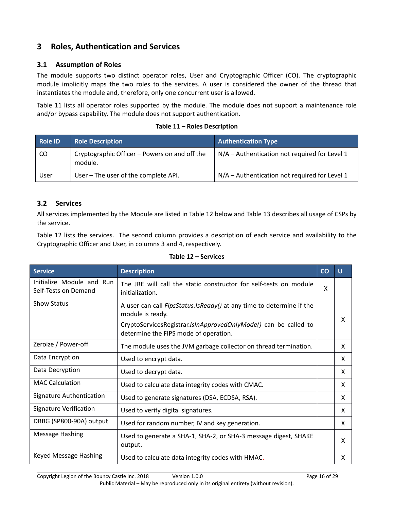# <span id="page-15-0"></span>**3 Roles, Authentication and Services**

#### <span id="page-15-1"></span>**3.1 Assumption of Roles**

The module supports two distinct operator roles, User and Cryptographic Officer (CO). The cryptographic module implicitly maps the two roles to the services. A user is considered the owner of the thread that instantiates the module and, therefore, only one concurrent user is allowed.

[Table 11](#page-15-3) lists all operator roles supported by the module. The module does not support a maintenance role and/or bypass capability. The module does not support authentication.

#### **Table 11 – Roles Description**

<span id="page-15-3"></span>

| Role ID | <b>Role Description</b>                                  | <b>Authentication Type</b>                      |
|---------|----------------------------------------------------------|-------------------------------------------------|
| CO.     | Cryptographic Officer – Powers on and off the<br>module. | $N/A$ – Authentication not required for Level 1 |
| User    | User - The user of the complete API.                     | N/A - Authentication not required for Level 1   |

#### <span id="page-15-2"></span>**3.2 Services**

All services implemented by the Module are listed in [Table 12](#page-15-4) below and [Table 13](#page-17-0) describes all usage of CSPs by the service.

[Table 12](#page-15-4) lists the services. The second column provides a description of each service and availability to the Cryptographic Officer and User, in columns 3 and 4, respectively.

#### **Table 12 – Services**

<span id="page-15-4"></span>

| <b>Service</b>                                    | <b>Description</b>                                                                                                                                                                                          | CO | $\cup$ |
|---------------------------------------------------|-------------------------------------------------------------------------------------------------------------------------------------------------------------------------------------------------------------|----|--------|
| Initialize Module and Run<br>Self-Tests on Demand | The JRE will call the static constructor for self-tests on module<br>initialization.                                                                                                                        | X  |        |
| <b>Show Status</b>                                | A user can call <i>FipsStatus.IsReady()</i> at any time to determine if the<br>module is ready.<br>CryptoServicesRegistrar.IsInApprovedOnlyMode() can be called to<br>determine the FIPS mode of operation. |    | X      |
| Zeroize / Power-off                               | The module uses the JVM garbage collector on thread termination.                                                                                                                                            |    | X      |
| Data Encryption                                   | Used to encrypt data.                                                                                                                                                                                       |    | X      |
| Data Decryption                                   | Used to decrypt data.                                                                                                                                                                                       |    | X      |
| <b>MAC Calculation</b>                            | Used to calculate data integrity codes with CMAC.                                                                                                                                                           |    | X      |
| Signature Authentication                          | Used to generate signatures (DSA, ECDSA, RSA).                                                                                                                                                              |    | X      |
| <b>Signature Verification</b>                     | Used to verify digital signatures.                                                                                                                                                                          |    | X      |
| DRBG (SP800-90A) output                           | Used for random number, IV and key generation.                                                                                                                                                              |    | X      |
| <b>Message Hashing</b>                            | Used to generate a SHA-1, SHA-2, or SHA-3 message digest, SHAKE<br>output.                                                                                                                                  |    | X      |
| Keyed Message Hashing                             | Used to calculate data integrity codes with HMAC.                                                                                                                                                           |    | X      |

Copyright Legion of the Bouncy Castle Inc. 2018 Version 1.0.0 Page 16 of 29 Public Material – May be reproduced only in its original entirety (without revision).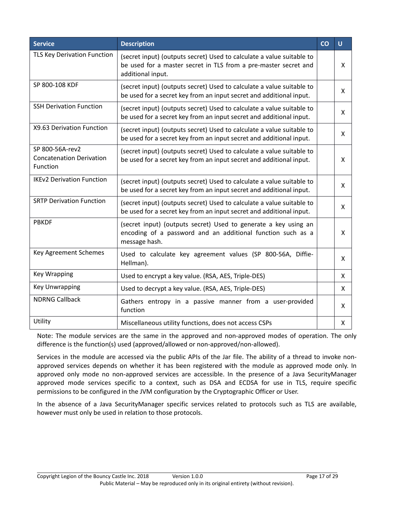| <b>Service</b>                                                 | <b>Description</b>                                                                                                                                            | CO | $\cup$ |
|----------------------------------------------------------------|---------------------------------------------------------------------------------------------------------------------------------------------------------------|----|--------|
| TLS Key Derivation Function                                    | (secret input) (outputs secret) Used to calculate a value suitable to<br>be used for a master secret in TLS from a pre-master secret and<br>additional input. |    | X      |
| SP 800-108 KDF                                                 | (secret input) (outputs secret) Used to calculate a value suitable to<br>be used for a secret key from an input secret and additional input.                  |    | X      |
| <b>SSH Derivation Function</b>                                 | (secret input) (outputs secret) Used to calculate a value suitable to<br>be used for a secret key from an input secret and additional input.                  |    | X      |
| X9.63 Derivation Function                                      | (secret input) (outputs secret) Used to calculate a value suitable to<br>be used for a secret key from an input secret and additional input.                  |    | X      |
| SP 800-56A-rev2<br><b>Concatenation Derivation</b><br>Function | (secret input) (outputs secret) Used to calculate a value suitable to<br>be used for a secret key from an input secret and additional input.                  |    | X      |
| <b>IKEv2 Derivation Function</b>                               | (secret input) (outputs secret) Used to calculate a value suitable to<br>be used for a secret key from an input secret and additional input.                  |    | X      |
| <b>SRTP Derivation Function</b>                                | (secret input) (outputs secret) Used to calculate a value suitable to<br>be used for a secret key from an input secret and additional input.                  |    | X      |
| <b>PBKDF</b>                                                   | (secret input) (outputs secret) Used to generate a key using an<br>encoding of a password and an additional function such as a<br>message hash.               |    | X      |
| Key Agreement Schemes                                          | Used to calculate key agreement values (SP 800-56A, Diffie-<br>Hellman).                                                                                      |    | X      |
| <b>Key Wrapping</b>                                            | Used to encrypt a key value. (RSA, AES, Triple-DES)                                                                                                           |    | X      |
| Key Unwrapping                                                 | Used to decrypt a key value. (RSA, AES, Triple-DES)                                                                                                           |    | X      |
| <b>NDRNG Callback</b>                                          | Gathers entropy in a passive manner from a user-provided<br>function                                                                                          |    | X      |
| Utility                                                        | Miscellaneous utility functions, does not access CSPs                                                                                                         |    | X      |

Note: The module services are the same in the approved and non-approved modes of operation. The only difference is the function(s) used (approved/allowed or non-approved/non-allowed).

Services in the module are accessed via the public APIs of the Jar file. The ability of a thread to invoke nonapproved services depends on whether it has been registered with the module as approved mode only. In approved only mode no non-approved services are accessible. In the presence of a Java SecurityManager approved mode services specific to a context, such as DSA and ECDSA for use in TLS, require specific permissions to be configured in the JVM configuration by the Cryptographic Officer or User.

In the absence of a Java SecurityManager specific services related to protocols such as TLS are available, however must only be used in relation to those protocols.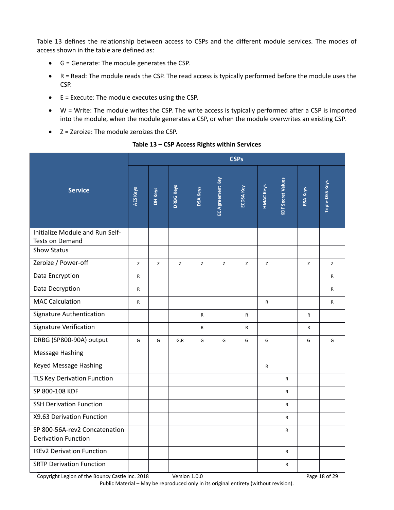[Table 13](#page-17-0) defines the relationship between access to CSPs and the different module services. The modes of access shown in the table are defined as:

- G = Generate: The module generates the CSP.
- R = Read: The module reads the CSP. The read access is typically performed before the module uses the CSP.
- E = Execute: The module executes using the CSP.
- W = Write: The module writes the CSP. The write access is typically performed after a CSP is imported into the module, when the module generates a CSP, or when the module overwrites an existing CSP.
- Z = Zeroize: The module zeroizes the CSP.

<span id="page-17-0"></span>

|                                                                                   |              | <b>CSPs</b> |                  |                 |                  |           |                  |                          |                 |                 |  |
|-----------------------------------------------------------------------------------|--------------|-------------|------------------|-----------------|------------------|-----------|------------------|--------------------------|-----------------|-----------------|--|
| <b>Service</b>                                                                    | AES Keys     | DH Keys     | <b>DRBG Keys</b> | <b>DSA Keys</b> | EC Agreement Key | ECDSA Key | <b>HMAC Keys</b> | <b>KDF Secret Values</b> | <b>RSA Keys</b> | Triple-DES Keys |  |
| Initialize Module and Run Self-<br>Tests on Demand                                |              |             |                  |                 |                  |           |                  |                          |                 |                 |  |
| <b>Show Status</b>                                                                |              |             |                  |                 |                  |           |                  |                          |                 |                 |  |
| Zeroize / Power-off                                                               | Z            | Z           | Z                | Z               | Z                | Z         | Z                |                          | Z               | Z               |  |
| Data Encryption                                                                   | R            |             |                  |                 |                  |           |                  |                          |                 | R               |  |
| Data Decryption                                                                   | $\mathsf{R}$ |             |                  |                 |                  |           |                  |                          |                 | $\mathsf{R}$    |  |
| <b>MAC Calculation</b>                                                            | ${\sf R}$    |             |                  |                 |                  |           | $\mathsf{R}$     |                          |                 | R               |  |
| <b>Signature Authentication</b>                                                   |              |             |                  | $\mathsf{R}$    |                  | R         |                  |                          | R               |                 |  |
| <b>Signature Verification</b>                                                     |              |             |                  | R               |                  | R         |                  |                          | R               |                 |  |
| DRBG (SP800-90A) output                                                           | G            | G           | G, R             | G               | G                | G         | G                |                          | G               | G               |  |
| <b>Message Hashing</b>                                                            |              |             |                  |                 |                  |           |                  |                          |                 |                 |  |
| Keyed Message Hashing                                                             |              |             |                  |                 |                  |           | R                |                          |                 |                 |  |
| <b>TLS Key Derivation Function</b>                                                |              |             |                  |                 |                  |           |                  | $\mathsf{R}$             |                 |                 |  |
| SP 800-108 KDF                                                                    |              |             |                  |                 |                  |           |                  | $\mathsf{R}$             |                 |                 |  |
| <b>SSH Derivation Function</b>                                                    |              |             |                  |                 |                  |           |                  | R                        |                 |                 |  |
| X9.63 Derivation Function                                                         |              |             |                  |                 |                  |           |                  | $\mathsf{R}$             |                 |                 |  |
| SP 800-56A-rev2 Concatenation<br><b>Derivation Function</b>                       |              |             |                  |                 |                  |           |                  | R                        |                 |                 |  |
| <b>IKEv2 Derivation Function</b>                                                  |              |             |                  |                 |                  |           |                  | $\mathsf{R}$             |                 |                 |  |
| <b>SRTP Derivation Function</b>                                                   |              |             |                  |                 |                  |           |                  | R                        |                 |                 |  |
| Version 1.0.0<br>Page 18 of 29<br>Copyright Legion of the Bouncy Castle Inc. 2018 |              |             |                  |                 |                  |           |                  |                          |                 |                 |  |

#### **Table 13 – CSP Access Rights within Services**

Public Material – May be reproduced only in its original entirety (without revision).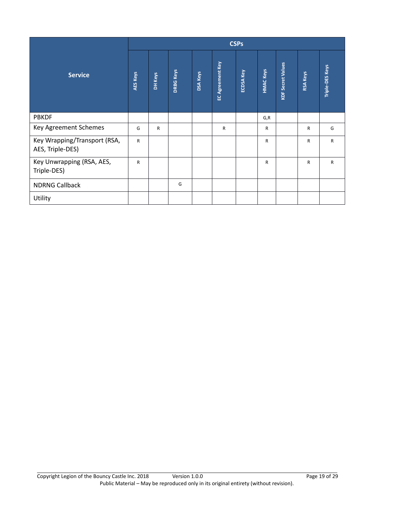|                                                  |                 | <b>CSPs</b>    |                  |                 |                  |                  |                  |                          |                 |                 |  |
|--------------------------------------------------|-----------------|----------------|------------------|-----------------|------------------|------------------|------------------|--------------------------|-----------------|-----------------|--|
| <b>Service</b>                                   | <b>AES Keys</b> | <b>DH Keys</b> | <b>DRBG Keys</b> | <b>DSA Keys</b> | EC Agreement Key | <b>ECDSA Key</b> | <b>HMAC Keys</b> | <b>KDF Secret Values</b> | <b>RSA Keys</b> | Triple-DES Keys |  |
| <b>PBKDF</b>                                     |                 |                |                  |                 |                  |                  | G, R             |                          |                 |                 |  |
| Key Agreement Schemes                            | G               | $\mathsf{R}$   |                  |                 | R                |                  | $\mathsf{R}$     |                          | R               | G               |  |
| Key Wrapping/Transport (RSA,<br>AES, Triple-DES) | $\mathsf{R}$    |                |                  |                 |                  |                  | R                |                          | R               | $\mathsf{R}$    |  |
| Key Unwrapping (RSA, AES,<br>Triple-DES)         | $\mathsf{R}$    |                |                  |                 |                  |                  | $\mathsf{R}$     |                          | $\mathsf{R}$    | $\mathsf{R}$    |  |
| <b>NDRNG Callback</b>                            |                 |                | G                |                 |                  |                  |                  |                          |                 |                 |  |
| Utility                                          |                 |                |                  |                 |                  |                  |                  |                          |                 |                 |  |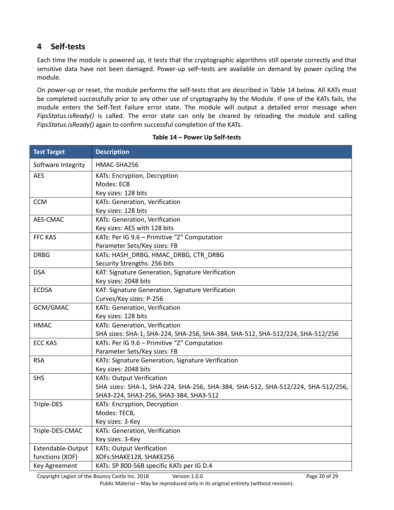# <span id="page-19-0"></span>**4 Self-tests**

Each time the module is powered up, it tests that the cryptographic algorithms still operate correctly and that sensitive data have not been damaged. Power-up self–tests are available on demand by power cycling the module.

On power-up or reset, the module performs the self-tests that are described in [Table 14](#page-19-1) below. All KATs must be completed successfully prior to any other use of cryptography by the Module. If one of the KATs fails, the module enters the Self-Test Failure error state. The module will output a detailed error message when *FipsStatus.isReady()* is called. The error state can only be cleared by reloading the module and calling *FipsStatus.isReady()* again to confirm successful completion of the KATs.

<span id="page-19-1"></span>

| <b>Test Target</b> | <b>Description</b>                                                              |
|--------------------|---------------------------------------------------------------------------------|
| Software Integrity | HMAC-SHA256                                                                     |
| <b>AES</b>         | KATs: Encryption, Decryption                                                    |
|                    | Modes: ECB                                                                      |
|                    | Key sizes: 128 bits                                                             |
| <b>CCM</b>         | KATs: Generation, Verification                                                  |
|                    | Key sizes: 128 bits                                                             |
| AES-CMAC           | KATs: Generation, Verification                                                  |
|                    | Key sizes: AES with 128 bits                                                    |
| FFC KAS            | KATs: Per IG 9.6 - Primitive "Z" Computation                                    |
|                    | Parameter Sets/Key sizes: FB                                                    |
| <b>DRBG</b>        | KATs: HASH_DRBG, HMAC_DRBG, CTR_DRBG                                            |
|                    | Security Strengths: 256 bits                                                    |
| <b>DSA</b>         | KAT: Signature Generation, Signature Verification                               |
|                    | Key sizes: 2048 bits                                                            |
| <b>ECDSA</b>       | KAT: Signature Generation, Signature Verification                               |
|                    | Curves/Key sizes: P-256                                                         |
| GCM/GMAC           | KATs: Generation, Verification                                                  |
|                    | Key sizes: 128 bits                                                             |
| <b>HMAC</b>        | KATs: Generation, Verification                                                  |
|                    | SHA sizes: SHA-1, SHA-224, SHA-256, SHA-384, SHA-512, SHA-512/224, SHA-512/256  |
| <b>ECC KAS</b>     | KATs: Per IG 9.6 - Primitive "Z" Computation                                    |
|                    | Parameter Sets/Key sizes: FB                                                    |
| <b>RSA</b>         | KATs: Signature Generation, Signature Verification                              |
|                    | Key sizes: 2048 bits                                                            |
| <b>SHS</b>         | <b>KATs: Output Verification</b>                                                |
|                    | SHA sizes: SHA-1, SHA-224, SHA-256, SHA-384, SHA-512, SHA-512/224, SHA-512/256, |
|                    | SHA3-224, SHA3-256, SHA3-384, SHA3-512                                          |
| Triple-DES         | KATs: Encryption, Decryption                                                    |
|                    | Modes: TECB,                                                                    |
|                    | Key sizes: 3-Key                                                                |
| Triple-DES-CMAC    | KATs: Generation, Verification                                                  |
|                    | Key sizes: 3-Key                                                                |
| Extendable-Output  | <b>KATs: Output Verification</b>                                                |
| functions (XOF)    | XOFs:SHAKE128, SHAKE256                                                         |
| Key Agreement      | KATs: SP 800-56B specific KATs per IG D.4                                       |

#### **Table 14 – Power Up Self-tests**

Copyright Legion of the Bouncy Castle Inc. 2018 Version 1.0.0 Page 20 of 29 Public Material – May be reproduced only in its original entirety (without revision).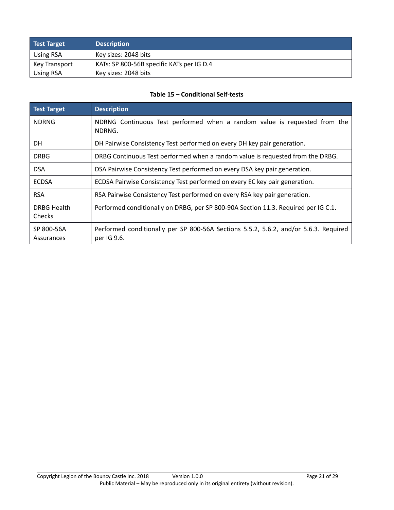| Test Target      | <b>Description</b>                        |
|------------------|-------------------------------------------|
| Using RSA        | Key sizes: 2048 bits                      |
| Key Transport    | KATs: SP 800-56B specific KATs per IG D.4 |
| <b>Using RSA</b> | Key sizes: 2048 bits                      |

#### **Table 15 – Conditional Self-tests**

<span id="page-20-0"></span>

| <b>Test Target</b>       | <b>Description</b>                                                                                  |
|--------------------------|-----------------------------------------------------------------------------------------------------|
| <b>NDRNG</b>             | NDRNG Continuous Test performed when a random value is requested from the<br>NDRNG.                 |
| DH.                      | DH Pairwise Consistency Test performed on every DH key pair generation.                             |
| <b>DRBG</b>              | DRBG Continuous Test performed when a random value is requested from the DRBG.                      |
| <b>DSA</b>               | DSA Pairwise Consistency Test performed on every DSA key pair generation.                           |
| <b>ECDSA</b>             | ECDSA Pairwise Consistency Test performed on every EC key pair generation.                          |
| <b>RSA</b>               | RSA Pairwise Consistency Test performed on every RSA key pair generation.                           |
| DRBG Health<br>Checks    | Performed conditionally on DRBG, per SP 800-90A Section 11.3. Required per IG C.1.                  |
| SP 800-56A<br>Assurances | Performed conditionally per SP 800-56A Sections 5.5.2, 5.6.2, and/or 5.6.3. Required<br>per IG 9.6. |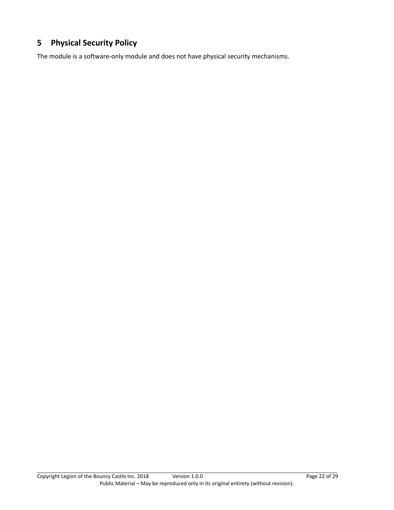# <span id="page-21-0"></span>**5 Physical Security Policy**

The module is a software-only module and does not have physical security mechanisms.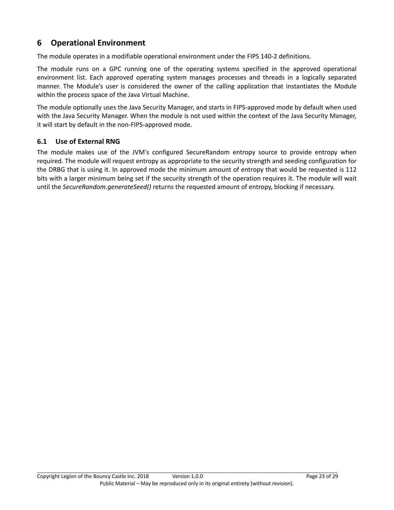# <span id="page-22-0"></span>**6 Operational Environment**

The module operates in a modifiable operational environment under the FIPS 140-2 definitions.

The module runs on a GPC running one of the operating systems specified in the approved operational environment list. Each approved operating system manages processes and threads in a logically separated manner. The Module's user is considered the owner of the calling application that instantiates the Module within the process space of the Java Virtual Machine.

The module optionally uses the Java Security Manager, and starts in FIPS-approved mode by default when used with the Java Security Manager. When the module is not used within the context of the Java Security Manager, it will start by default in the non-FIPS-approved mode.

#### <span id="page-22-1"></span>**6.1 Use of External RNG**

The module makes use of the JVM's configured SecureRandom entropy source to provide entropy when required. The module will request entropy as appropriate to the security strength and seeding configuration for the DRBG that is using it. In approved mode the minimum amount of entropy that would be requested is 112 bits with a larger minimum being set if the security strength of the operation requires it. The module will wait until the *SecureRandom.generateSeed()* returns the requested amount of entropy, blocking if necessary.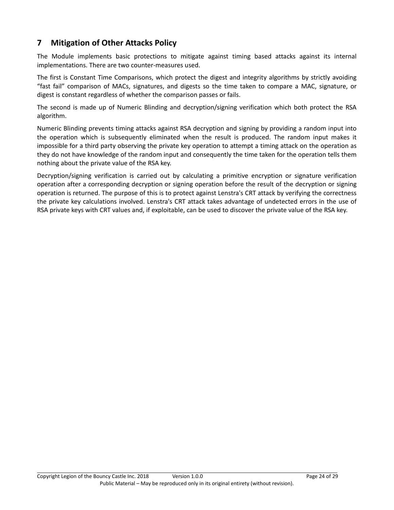# <span id="page-23-0"></span>**7 Mitigation of Other Attacks Policy**

The Module implements basic protections to mitigate against timing based attacks against its internal implementations. There are two counter-measures used.

The first is Constant Time Comparisons, which protect the digest and integrity algorithms by strictly avoiding "fast fail" comparison of MACs, signatures, and digests so the time taken to compare a MAC, signature, or digest is constant regardless of whether the comparison passes or fails.

The second is made up of Numeric Blinding and decryption/signing verification which both protect the RSA algorithm.

Numeric Blinding prevents timing attacks against RSA decryption and signing by providing a random input into the operation which is subsequently eliminated when the result is produced. The random input makes it impossible for a third party observing the private key operation to attempt a timing attack on the operation as they do not have knowledge of the random input and consequently the time taken for the operation tells them nothing about the private value of the RSA key.

Decryption/signing verification is carried out by calculating a primitive encryption or signature verification operation after a corresponding decryption or signing operation before the result of the decryption or signing operation is returned. The purpose of this is to protect against Lenstra's CRT attack by verifying the correctness the private key calculations involved. Lenstra's CRT attack takes advantage of undetected errors in the use of RSA private keys with CRT values and, if exploitable, can be used to discover the private value of the RSA key.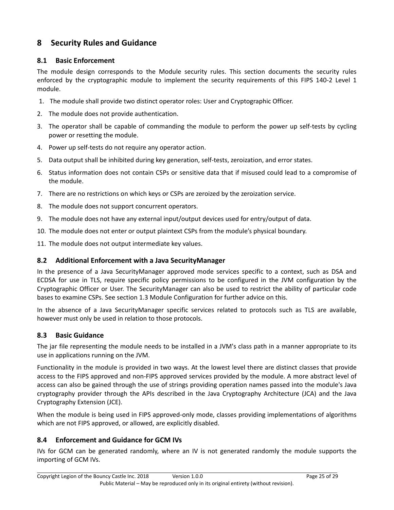# <span id="page-24-0"></span>**8 Security Rules and Guidance**

#### <span id="page-24-1"></span>**8.1 Basic Enforcement**

The module design corresponds to the Module security rules. This section documents the security rules enforced by the cryptographic module to implement the security requirements of this FIPS 140-2 Level 1 module.

- 1. The module shall provide two distinct operator roles: User and Cryptographic Officer.
- 2. The module does not provide authentication.
- 3. The operator shall be capable of commanding the module to perform the power up self-tests by cycling power or resetting the module.
- 4. Power up self-tests do not require any operator action.
- 5. Data output shall be inhibited during key generation, self-tests, zeroization, and error states.
- 6. Status information does not contain CSPs or sensitive data that if misused could lead to a compromise of the module.
- 7. There are no restrictions on which keys or CSPs are zeroized by the zeroization service.
- 8. The module does not support concurrent operators.
- 9. The module does not have any external input/output devices used for entry/output of data.
- 10. The module does not enter or output plaintext CSPs from the module's physical boundary.
- 11. The module does not output intermediate key values.

#### <span id="page-24-2"></span>**8.2 Additional Enforcement with a Java SecurityManager**

In the presence of a Java SecurityManager approved mode services specific to a context, such as DSA and ECDSA for use in TLS, require specific policy permissions to be configured in the JVM configuration by the Cryptographic Officer or User. The SecurityManager can also be used to restrict the ability of particular code bases to examine CSPs. See section 1.3 Module Configuration for further advice on this.

In the absence of a Java SecurityManager specific services related to protocols such as TLS are available, however must only be used in relation to those protocols.

#### <span id="page-24-3"></span>**8.3 Basic Guidance**

The jar file representing the module needs to be installed in a JVM's class path in a manner appropriate to its use in applications running on the JVM.

Functionality in the module is provided in two ways. At the lowest level there are distinct classes that provide access to the FIPS approved and non-FIPS approved services provided by the module. A more abstract level of access can also be gained through the use of strings providing operation names passed into the module's Java cryptography provider through the APIs described in the Java Cryptography Architecture (JCA) and the Java Cryptography Extension (JCE).

When the module is being used in FIPS approved-only mode, classes providing implementations of algorithms which are not FIPS approved, or allowed, are explicitly disabled.

#### <span id="page-24-4"></span>**8.4 Enforcement and Guidance for GCM IVs**

IVs for GCM can be generated randomly, where an IV is not generated randomly the module supports the importing of GCM IVs.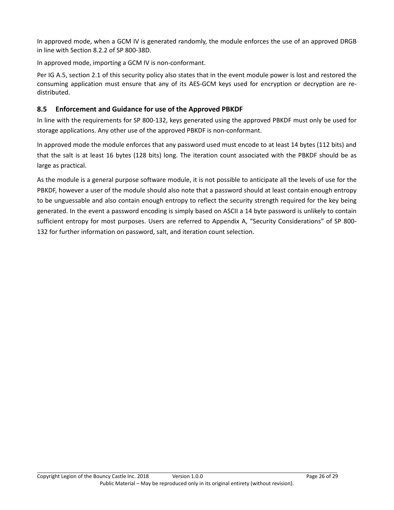In approved mode, when a GCM IV is generated randomly, the module enforces the use of an approved DRGB in line with Section 8.2.2 of SP 800-38D.

In approved mode, importing a GCM IV is non-conformant.

Per IG A.5, section 2.1 of this security policy also states that in the event module power is lost and restored the consuming application must ensure that any of its AES-GCM keys used for encryption or decryption are redistributed.

#### <span id="page-25-0"></span>**8.5 Enforcement and Guidance for use of the Approved PBKDF**

In line with the requirements for SP 800-132, keys generated using the approved PBKDF must only be used for storage applications. Any other use of the approved PBKDF is non-conformant.

In approved mode the module enforces that any password used must encode to at least 14 bytes (112 bits) and that the salt is at least 16 bytes (128 bits) long. The iteration count associated with the PBKDF should be as large as practical.

As the module is a general purpose software module, it is not possible to anticipate all the levels of use for the PBKDF, however a user of the module should also note that a password should at least contain enough entropy to be unguessable and also contain enough entropy to reflect the security strength required for the key being generated. In the event a password encoding is simply based on ASCII a 14 byte password is unlikely to contain sufficient entropy for most purposes. Users are referred to Appendix A, "Security Considerations" of SP 800- 132 for further information on password, salt, and iteration count selection.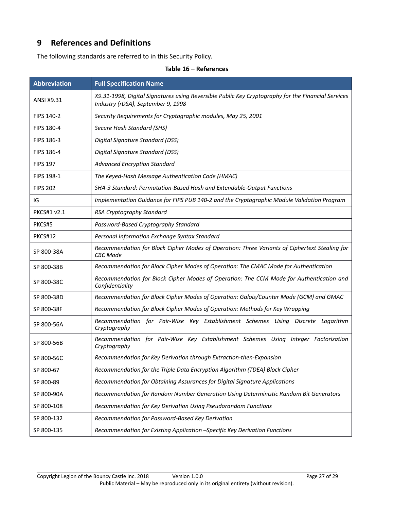# <span id="page-26-0"></span>**9 References and Definitions**

<span id="page-26-1"></span>The following standards are referred to in this Security Policy.

| <b>Abbreviation</b> | <b>Full Specification Name</b>                                                                                                           |
|---------------------|------------------------------------------------------------------------------------------------------------------------------------------|
| <b>ANSI X9.31</b>   | X9.31-1998, Digital Signatures using Reversible Public Key Cryptography for the Financial Services<br>Industry (rDSA), September 9, 1998 |
| FIPS 140-2          | Security Requirements for Cryptographic modules, May 25, 2001                                                                            |
| FIPS 180-4          | Secure Hash Standard (SHS)                                                                                                               |
| FIPS 186-3          | Digital Signature Standard (DSS)                                                                                                         |
| <b>FIPS 186-4</b>   | Digital Signature Standard (DSS)                                                                                                         |
| <b>FIPS 197</b>     | <b>Advanced Encryption Standard</b>                                                                                                      |
| FIPS 198-1          | The Keyed-Hash Message Authentication Code (HMAC)                                                                                        |
| <b>FIPS 202</b>     | SHA-3 Standard: Permutation-Based Hash and Extendable-Output Functions                                                                   |
| IG                  | Implementation Guidance for FIPS PUB 140-2 and the Cryptographic Module Validation Program                                               |
| <b>PKCS#1 v2.1</b>  | RSA Cryptography Standard                                                                                                                |
| PKCS#5              | Password-Based Cryptography Standard                                                                                                     |
| <b>PKCS#12</b>      | Personal Information Exchange Syntax Standard                                                                                            |
| SP 800-38A          | Recommendation for Block Cipher Modes of Operation: Three Variants of Ciphertext Stealing for<br><b>CBC</b> Mode                         |
| SP 800-38B          | Recommendation for Block Cipher Modes of Operation: The CMAC Mode for Authentication                                                     |
| SP 800-38C          | Recommendation for Block Cipher Modes of Operation: The CCM Mode for Authentication and<br>Confidentiality                               |
| SP 800-38D          | Recommendation for Block Cipher Modes of Operation: Galois/Counter Mode (GCM) and GMAC                                                   |
| SP 800-38F          | Recommendation for Block Cipher Modes of Operation: Methods for Key Wrapping                                                             |
| SP 800-56A          | Recommendation for Pair-Wise Key Establishment Schemes Using Discrete Logarithm<br>Cryptography                                          |
| SP 800-56B          | Recommendation for Pair-Wise Key Establishment Schemes Using Integer Factorization<br>Cryptography                                       |
| SP 800-56C          | Recommendation for Key Derivation through Extraction-then-Expansion                                                                      |
| SP 800-67           | Recommendation for the Triple Data Encryption Algorithm (TDEA) Block Cipher                                                              |
| SP 800-89           | Recommendation for Obtaining Assurances for Digital Signature Applications                                                               |
| SP 800-90A          | Recommendation for Random Number Generation Using Deterministic Random Bit Generators                                                    |
| SP 800-108          | Recommendation for Key Derivation Using Pseudorandom Functions                                                                           |
| SP 800-132          | Recommendation for Password-Based Key Derivation                                                                                         |
| SP 800-135          | Recommendation for Existing Application -Specific Key Derivation Functions                                                               |

**Table 16 – References**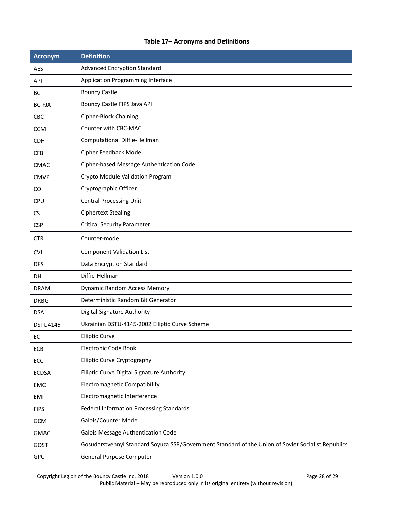#### **Table 17– Acronyms and Definitions**

<span id="page-27-0"></span>

| <b>Acronym</b>  | <b>Definition</b>                                                                                  |
|-----------------|----------------------------------------------------------------------------------------------------|
| <b>AES</b>      | <b>Advanced Encryption Standard</b>                                                                |
| API             | Application Programming Interface                                                                  |
| <b>BC</b>       | <b>Bouncy Castle</b>                                                                               |
| <b>BC-FJA</b>   | Bouncy Castle FIPS Java API                                                                        |
| <b>CBC</b>      | <b>Cipher-Block Chaining</b>                                                                       |
| <b>CCM</b>      | Counter with CBC-MAC                                                                               |
| <b>CDH</b>      | Computational Diffie-Hellman                                                                       |
| <b>CFB</b>      | Cipher Feedback Mode                                                                               |
| <b>CMAC</b>     | Cipher-based Message Authentication Code                                                           |
| <b>CMVP</b>     | Crypto Module Validation Program                                                                   |
| CO              | Cryptographic Officer                                                                              |
| CPU             | <b>Central Processing Unit</b>                                                                     |
| CS              | <b>Ciphertext Stealing</b>                                                                         |
| <b>CSP</b>      | <b>Critical Security Parameter</b>                                                                 |
| <b>CTR</b>      | Counter-mode                                                                                       |
| <b>CVL</b>      | <b>Component Validation List</b>                                                                   |
| <b>DES</b>      | Data Encryption Standard                                                                           |
| DH              | Diffie-Hellman                                                                                     |
| <b>DRAM</b>     | <b>Dynamic Random Access Memory</b>                                                                |
| <b>DRBG</b>     | Deterministic Random Bit Generator                                                                 |
| <b>DSA</b>      | <b>Digital Signature Authority</b>                                                                 |
| <b>DSTU4145</b> | Ukrainian DSTU-4145-2002 Elliptic Curve Scheme                                                     |
| EC              | <b>Elliptic Curve</b>                                                                              |
| ECB             | <b>Electronic Code Book</b>                                                                        |
| ECC             | <b>Elliptic Curve Cryptography</b>                                                                 |
| <b>ECDSA</b>    | Elliptic Curve Digital Signature Authority                                                         |
| EMC             | <b>Electromagnetic Compatibility</b>                                                               |
| EMI             | Electromagnetic Interference                                                                       |
| <b>FIPS</b>     | Federal Information Processing Standards                                                           |
| GCM             | Galois/Counter Mode                                                                                |
| <b>GMAC</b>     | Galois Message Authentication Code                                                                 |
| GOST            | Gosudarstvennyi Standard Soyuza SSR/Government Standard of the Union of Soviet Socialist Republics |
| GPC             | General Purpose Computer                                                                           |